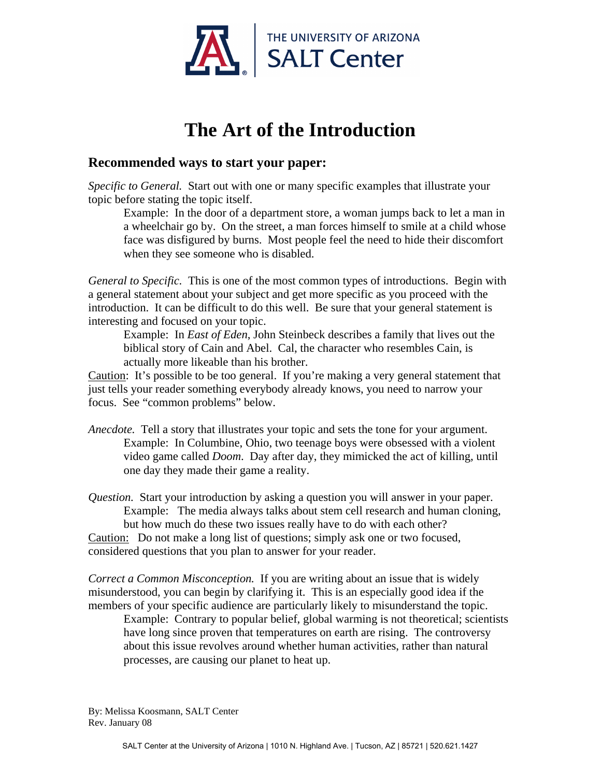

## **The Art of the Introduction**

## **Recommended ways to start your paper:**

*Specific to General.* Start out with one or many specific examples that illustrate your topic before stating the topic itself.

Example: In the door of a department store, a woman jumps back to let a man in a wheelchair go by. On the street, a man forces himself to smile at a child whose face was disfigured by burns. Most people feel the need to hide their discomfort when they see someone who is disabled.

*General to Specific.* This is one of the most common types of introductions. Begin with a general statement about your subject and get more specific as you proceed with the introduction. It can be difficult to do this well. Be sure that your general statement is interesting and focused on your topic.

Example: In *East of Eden*, John Steinbeck describes a family that lives out the biblical story of Cain and Abel. Cal, the character who resembles Cain, is actually more likeable than his brother.

Caution: It's possible to be too general. If you're making a very general statement that just tells your reader something everybody already knows, you need to narrow your focus. See "common problems" below.

*Anecdote.* Tell a story that illustrates your topic and sets the tone for your argument. Example: In Columbine, Ohio, two teenage boys were obsessed with a violent video game called *Doom*. Day after day, they mimicked the act of killing, until one day they made their game a reality.

*Question.* Start your introduction by asking a question you will answer in your paper. Example: The media always talks about stem cell research and human cloning, but how much do these two issues really have to do with each other?

Caution: Do not make a long list of questions; simply ask one or two focused, considered questions that you plan to answer for your reader.

*Correct a Common Misconception.* If you are writing about an issue that is widely misunderstood, you can begin by clarifying it. This is an especially good idea if the members of your specific audience are particularly likely to misunderstand the topic.

Example: Contrary to popular belief, global warming is not theoretical; scientists have long since proven that temperatures on earth are rising. The controversy about this issue revolves around whether human activities, rather than natural processes, are causing our planet to heat up.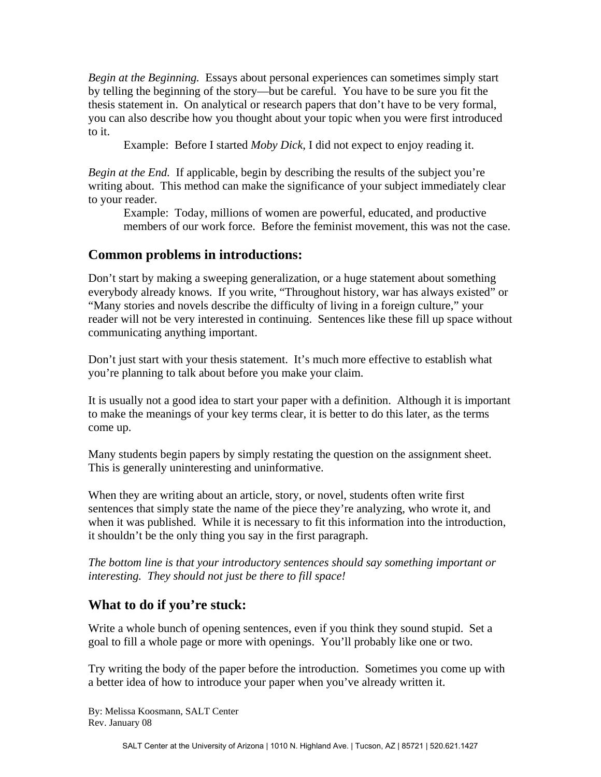*Begin at the Beginning.* Essays about personal experiences can sometimes simply start by telling the beginning of the story—but be careful. You have to be sure you fit the thesis statement in. On analytical or research papers that don't have to be very formal, you can also describe how you thought about your topic when you were first introduced to it.

Example: Before I started *Moby Dick*, I did not expect to enjoy reading it.

*Begin at the End.* If applicable, begin by describing the results of the subject you're writing about. This method can make the significance of your subject immediately clear to your reader.

Example: Today, millions of women are powerful, educated, and productive members of our work force. Before the feminist movement, this was not the case.

## **Common problems in introductions:**

Don't start by making a sweeping generalization, or a huge statement about something everybody already knows. If you write, "Throughout history, war has always existed" or "Many stories and novels describe the difficulty of living in a foreign culture," your reader will not be very interested in continuing. Sentences like these fill up space without communicating anything important.

Don't just start with your thesis statement. It's much more effective to establish what you're planning to talk about before you make your claim.

It is usually not a good idea to start your paper with a definition. Although it is important to make the meanings of your key terms clear, it is better to do this later, as the terms come up.

Many students begin papers by simply restating the question on the assignment sheet. This is generally uninteresting and uninformative.

When they are writing about an article, story, or novel, students often write first sentences that simply state the name of the piece they're analyzing, who wrote it, and when it was published. While it is necessary to fit this information into the introduction, it shouldn't be the only thing you say in the first paragraph.

*The bottom line is that your introductory sentences should say something important or interesting. They should not just be there to fill space!* 

## **What to do if you're stuck:**

Write a whole bunch of opening sentences, even if you think they sound stupid. Set a goal to fill a whole page or more with openings. You'll probably like one or two.

Try writing the body of the paper before the introduction. Sometimes you come up with a better idea of how to introduce your paper when you've already written it.

By: Melissa Koosmann, SALT Center Rev. January 08